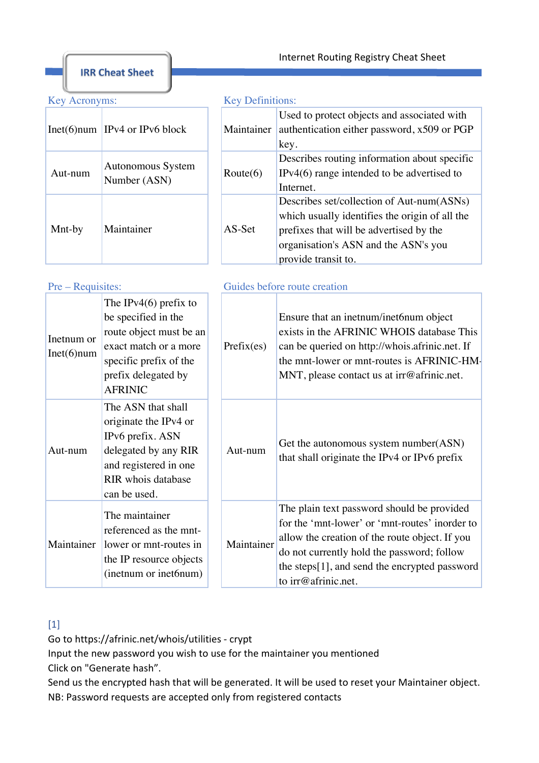**IRR Cheat Sheet** 

|         | $Inet(6)$ num IPv4 or IPv6 block  | Maintainer |
|---------|-----------------------------------|------------|
| Aut-num | Autonomous System<br>Number (ASN) | Route(6)   |
| Mnt-by  | Maintainer                        | AS-Set     |

## Key Acronyms: Key Definitions:

| Maintainer        | Used to protect objects and associated with<br>authentication either password, x509 or PGP<br>key. |  |
|-------------------|----------------------------------------------------------------------------------------------------|--|
|                   |                                                                                                    |  |
| $\text{Route}(6)$ | Describes routing information about specific                                                       |  |
|                   | $IPv4(6)$ range intended to be advertised to                                                       |  |
|                   | Internet.                                                                                          |  |
| AS-Set            | Describes set/collection of Aut-num(ASNs)                                                          |  |
|                   | which usually identifies the origin of all the                                                     |  |
|                   | prefixes that will be advertised by the                                                            |  |
|                   | organisation's ASN and the ASN's you                                                               |  |
|                   | provide transit to.                                                                                |  |

### Pre – Requisites: Guides before route creation

| Inetnum or<br>$Int(6)$ num | The IPv4 $(6)$ prefix to<br>be specified in the<br>route object must be an<br>exact match or a more<br>specific prefix of the<br>prefix delegated by<br><b>AFRINIC</b> | Prefix(es) | Ensure that an inetnum/inet6num object<br>exists in the AFRINIC WHOIS database This<br>can be queried on http://whois.afrinic.net. If<br>the mnt-lower or mnt-routes is AFRINIC-HM-<br>MNT, please contact us at $irr@afrinc.net$ .                                  |
|----------------------------|------------------------------------------------------------------------------------------------------------------------------------------------------------------------|------------|----------------------------------------------------------------------------------------------------------------------------------------------------------------------------------------------------------------------------------------------------------------------|
| Aut-num                    | The ASN that shall<br>originate the IPv4 or<br>IPv6 prefix. ASN<br>delegated by any RIR<br>and registered in one<br>RIR whois database<br>can be used.                 | Aut-num    | Get the autonomous system number (ASN)<br>that shall originate the IPv4 or IPv6 prefix                                                                                                                                                                               |
| Maintainer                 | The maintainer<br>referenced as the mnt-<br>lower or mnt-routes in<br>the IP resource objects<br>(inetnum or inet6num)                                                 | Maintainer | The plain text password should be provided<br>for the 'mnt-lower' or 'mnt-routes' inorder to<br>allow the creation of the route object. If you<br>do not currently hold the password; follow<br>the steps[1], and send the encrypted password<br>to irr@afrinic.net. |

# $[1]$

Go to https://afrinic.net/whois/utilities - crypt

Input the new password you wish to use for the maintainer you mentioned Click on "Generate hash".

NB: Password requests are accepted only from registered contacts Send us the encrypted hash that will be generated. It will be used to reset your Maintainer object.